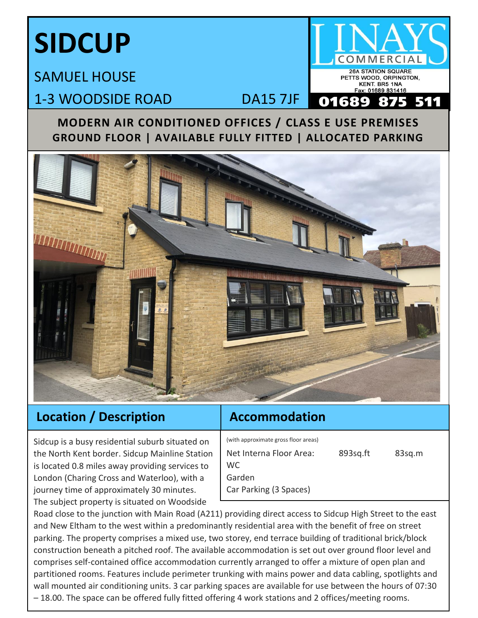# **SIDCUP**

## SAMUEL HOUSE 1-3 WOODSIDE ROAD DA15 7JF

#### **MODERN AIR CONDITIONED OFFICES / CLASS E USE PREMISES GROUND FLOOR | AVAILABLE FULLY FITTED | ALLOCATED PARKING**

**26A STATION SQUARE** PETTS WOOD, ORPINGTON, KENT. BR5 1NA Fax: 01689 831416



### **Location / Description**

## **Accommodation**

Sidcup is a busy residential suburb situated on the North Kent border. Sidcup Mainline Station is located 0.8 miles away providing services to London (Charing Cross and Waterloo), with a journey time of approximately 30 minutes. The subject property is situated on Woodside

(with approximate gross floor areas)

Net Interna Floor Area: 893sq.ft 83sq.m WC Garden Car Parking (3 Spaces)

Road close to the junction with Main Road (A211) providing direct access to Sidcup High Street to the east and New Eltham to the west within a predominantly residential area with the benefit of free on street parking. The property comprises a mixed use, two storey, end terrace building of traditional brick/block construction beneath a pitched roof. The available accommodation is set out over ground floor level and comprises self-contained office accommodation currently arranged to offer a mixture of open plan and partitioned rooms. Features include perimeter trunking with mains power and data cabling, spotlights and wall mounted air conditioning units. 3 car parking spaces are available for use between the hours of 07:30 – 18.00. The space can be offered fully fitted offering 4 work stations and 2 offices/meeting rooms.